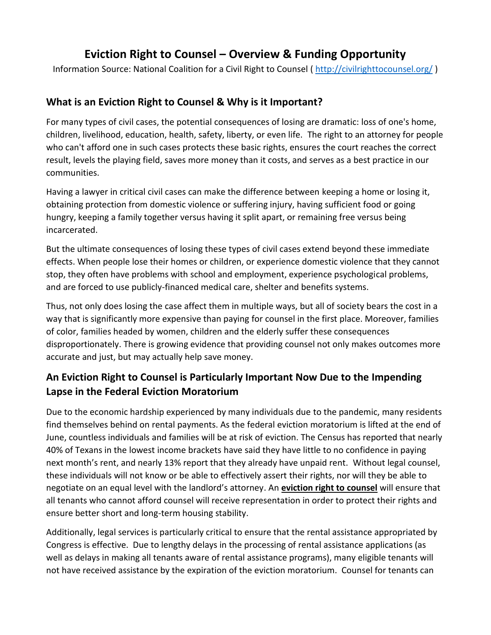# **Eviction Right to Counsel – Overview & Funding Opportunity**

Information Source: National Coalition for a Civil Right to Counsel ( http://civilrighttocounsel.org/ )

## **What is an Eviction Right to Counsel & Why is it Important?**

For many types of civil cases, the potential consequences of losing are dramatic: loss of one's home, children, livelihood, education, health, safety, liberty, or even life. The right to an attorney for people who can't afford one in such cases protects these basic rights, ensures the court reaches the correct result, levels the playing field, saves more money than it costs, and serves as a best practice in our communities.

Having a lawyer in critical civil cases can make the difference between keeping a home or losing it, obtaining protection from domestic violence or suffering injury, having sufficient food or going hungry, keeping a family together versus having it split apart, or remaining free versus being incarcerated.

But the ultimate consequences of losing these types of civil cases extend beyond these immediate effects. When people lose their homes or children, or experience domestic violence that they cannot stop, they often have problems with school and employment, experience psychological problems, and are forced to use publicly-financed medical care, shelter and benefits systems.

Thus, not only does losing the case affect them in multiple ways, but all of society bears the cost in a way that is significantly more expensive than paying for counsel in the first place. Moreover, families of color, families headed by women, children and the elderly suffer these consequences disproportionately. There is growing evidence that providing counsel not only makes outcomes more accurate and just, but may actually help save money.

# **An Eviction Right to Counsel is Particularly Important Now Due to the Impending Lapse in the Federal Eviction Moratorium**

Due to the economic hardship experienced by many individuals due to the pandemic, many residents find themselves behind on rental payments. As the federal eviction moratorium is lifted at the end of June, countless individuals and families will be at risk of eviction. The Census has reported that nearly 40% of Texans in the lowest income brackets have said they have little to no confidence in paying next month's rent, and nearly 13% report that they already have unpaid rent. Without legal counsel, these individuals will not know or be able to effectively assert their rights, nor will they be able to negotiate on an equal level with the landlord's attorney. An **eviction right to counsel** will ensure that all tenants who cannot afford counsel will receive representation in order to protect their rights and ensure better short and long-term housing stability.

Additionally, legal services is particularly critical to ensure that the rental assistance appropriated by Congress is effective. Due to lengthy delays in the processing of rental assistance applications (as well as delays in making all tenants aware of rental assistance programs), many eligible tenants will not have received assistance by the expiration of the eviction moratorium. Counsel for tenants can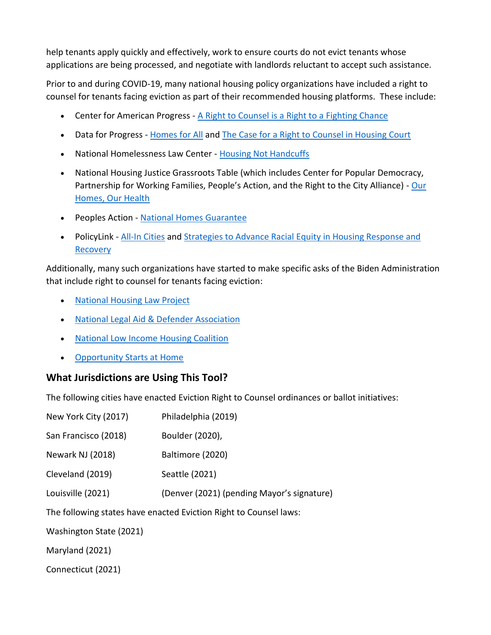help tenants apply quickly and effectively, work to ensure courts do not evict tenants whose applications are being processed, and negotiate with landlords reluctant to accept such assistance.

Prior to and during COVID-19, many national housing policy organizations have included a right to counsel for tenants facing eviction as part of their recommended housing platforms. These include:

- Center for American Progress A Right to Counsel is a Right to a Fighting Chance
- Data for Progress Homes for All and The Case for a Right to Counsel in Housing Court
- National Homelessness Law Center Housing Not Handcuffs
- National Housing Justice Grassroots Table (which includes Center for Popular Democracy, Partnership for Working Families, People's Action, and the Right to the City Alliance) - Our Homes, Our Health
- Peoples Action National Homes Guarantee
- PolicyLink All-In Cities and Strategies to Advance Racial Equity in Housing Response and Recovery

Additionally, many such organizations have started to make specific asks of the Biden Administration that include right to counsel for tenants facing eviction:

- National Housing Law Project
- National Legal Aid & Defender Association
- National Low Income Housing Coalition
- Opportunity Starts at Home

## **What Jurisdictions are Using This Tool?**

The following cities have enacted Eviction Right to Counsel ordinances or ballot initiatives:

| New York City (2017)                                              | Philadelphia (2019)                        |
|-------------------------------------------------------------------|--------------------------------------------|
| San Francisco (2018)                                              | Boulder (2020),                            |
| Newark NJ (2018)                                                  | Baltimore (2020)                           |
| Cleveland (2019)                                                  | Seattle (2021)                             |
| Louisville (2021)                                                 | (Denver (2021) (pending Mayor's signature) |
| The following states have enacted Eviction Right to Counsel laws: |                                            |
| Washington State (2021)                                           |                                            |
| Maryland (2021)                                                   |                                            |

Connecticut (2021)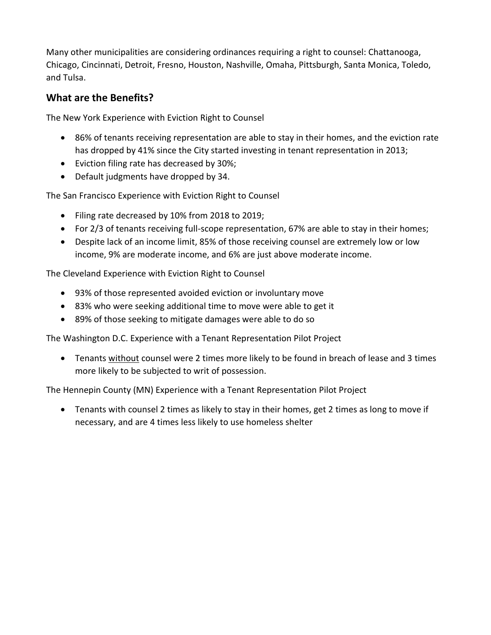Many other municipalities are considering ordinances requiring a right to counsel: Chattanooga, Chicago, Cincinnati, Detroit, Fresno, Houston, Nashville, Omaha, Pittsburgh, Santa Monica, Toledo, and Tulsa.

## **What are the Benefits?**

The New York Experience with Eviction Right to Counsel

- 86% of tenants receiving representation are able to stay in their homes, and the eviction rate has dropped by 41% since the City started investing in tenant representation in 2013;
- Eviction filing rate has decreased by 30%;
- Default judgments have dropped by 34.

The San Francisco Experience with Eviction Right to Counsel

- Filing rate decreased by 10% from 2018 to 2019;
- For 2/3 of tenants receiving full-scope representation, 67% are able to stay in their homes;
- Despite lack of an income limit, 85% of those receiving counsel are extremely low or low income, 9% are moderate income, and 6% are just above moderate income.

The Cleveland Experience with Eviction Right to Counsel

- 93% of those represented avoided eviction or involuntary move
- 83% who were seeking additional time to move were able to get it
- 89% of those seeking to mitigate damages were able to do so

The Washington D.C. Experience with a Tenant Representation Pilot Project

• Tenants without counsel were 2 times more likely to be found in breach of lease and 3 times more likely to be subjected to writ of possession.

The Hennepin County (MN) Experience with a Tenant Representation Pilot Project

• Tenants with counsel 2 times as likely to stay in their homes, get 2 times as long to move if necessary, and are 4 times less likely to use homeless shelter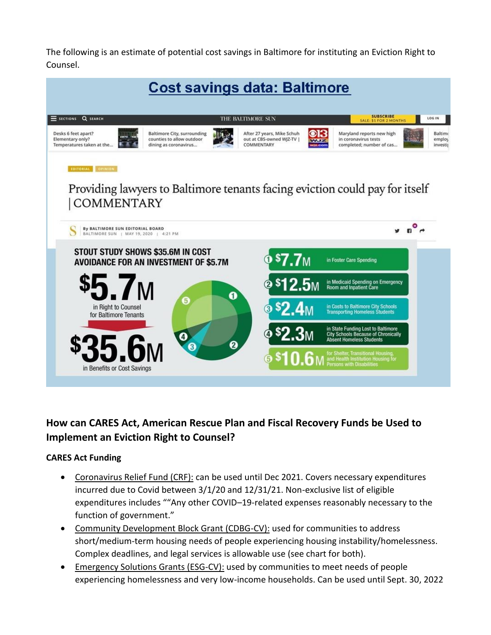The following is an estimate of potential cost savings in Baltimore for instituting an Eviction Right to Counsel.



## **How can CARES Act, American Rescue Plan and Fiscal Recovery Funds be Used to Implement an Eviction Right to Counsel?**

#### **CARES Act Funding**

- Coronavirus Relief Fund (CRF): can be used until Dec 2021. Covers necessary expenditures incurred due to Covid between 3/1/20 and 12/31/21. Non-exclusive list of eligible expenditures includes ""Any other COVID–19-related expenses reasonably necessary to the function of government."
- Community Development Block Grant (CDBG-CV): used for communities to address short/medium-term housing needs of people experiencing housing instability/homelessness. Complex deadlines, and legal services is allowable use (see chart for both).
- Emergency Solutions Grants (ESG-CV): used by communities to meet needs of people experiencing homelessness and very low-income households. Can be used until Sept. 30, 2022